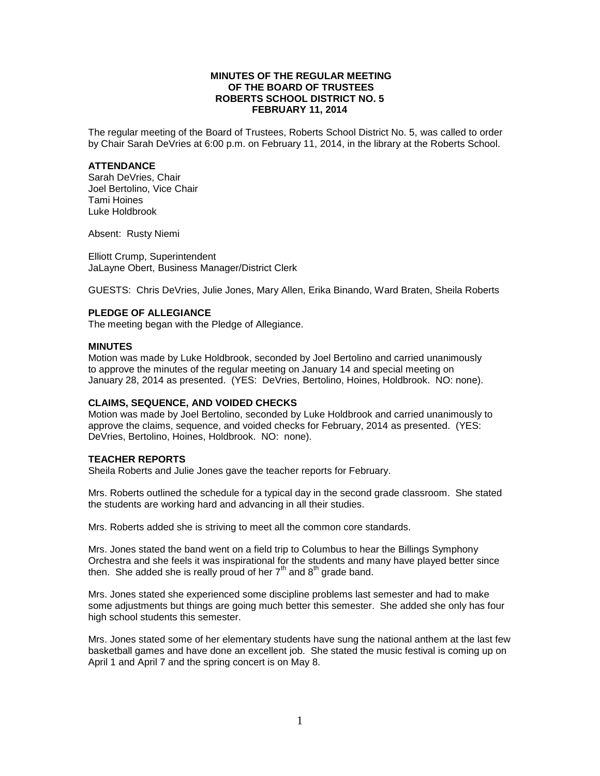# **MINUTES OF THE REGULAR MEETING OF THE BOARD OF TRUSTEES ROBERTS SCHOOL DISTRICT NO. 5 FEBRUARY 11, 2014**

The regular meeting of the Board of Trustees, Roberts School District No. 5, was called to order by Chair Sarah DeVries at 6:00 p.m. on February 11, 2014, in the library at the Roberts School.

## **ATTENDANCE**

Sarah DeVries, Chair Joel Bertolino, Vice Chair Tami Hoines Luke Holdbrook

Absent: Rusty Niemi

Elliott Crump, Superintendent JaLayne Obert, Business Manager/District Clerk

GUESTS: Chris DeVries, Julie Jones, Mary Allen, Erika Binando, Ward Braten, Sheila Roberts

## **PLEDGE OF ALLEGIANCE**

The meeting began with the Pledge of Allegiance.

### **MINUTES**

Motion was made by Luke Holdbrook, seconded by Joel Bertolino and carried unanimously to approve the minutes of the regular meeting on January 14 and special meeting on January 28, 2014 as presented. (YES: DeVries, Bertolino, Hoines, Holdbrook. NO: none).

# **CLAIMS, SEQUENCE, AND VOIDED CHECKS**

Motion was made by Joel Bertolino, seconded by Luke Holdbrook and carried unanimously to approve the claims, sequence, and voided checks for February, 2014 as presented. (YES: DeVries, Bertolino, Hoines, Holdbrook. NO: none).

### **TEACHER REPORTS**

Sheila Roberts and Julie Jones gave the teacher reports for February.

Mrs. Roberts outlined the schedule for a typical day in the second grade classroom. She stated the students are working hard and advancing in all their studies.

Mrs. Roberts added she is striving to meet all the common core standards.

Mrs. Jones stated the band went on a field trip to Columbus to hear the Billings Symphony Orchestra and she feels it was inspirational for the students and many have played better since then. She added she is really proud of her  $7<sup>th</sup>$  and  $8<sup>th</sup>$  grade band.

Mrs. Jones stated she experienced some discipline problems last semester and had to make some adjustments but things are going much better this semester. She added she only has four high school students this semester.

Mrs. Jones stated some of her elementary students have sung the national anthem at the last few basketball games and have done an excellent job. She stated the music festival is coming up on April 1 and April 7 and the spring concert is on May 8.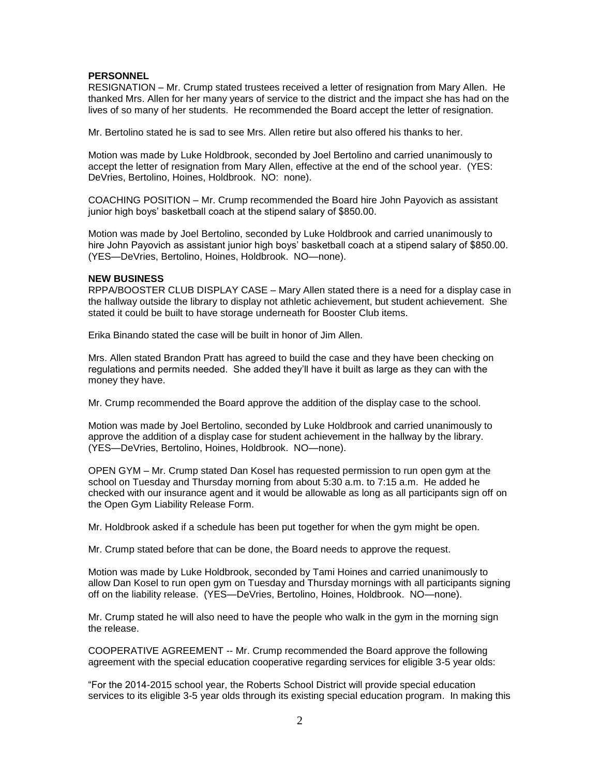## **PERSONNEL**

RESIGNATION – Mr. Crump stated trustees received a letter of resignation from Mary Allen. He thanked Mrs. Allen for her many years of service to the district and the impact she has had on the lives of so many of her students. He recommended the Board accept the letter of resignation.

Mr. Bertolino stated he is sad to see Mrs. Allen retire but also offered his thanks to her.

Motion was made by Luke Holdbrook, seconded by Joel Bertolino and carried unanimously to accept the letter of resignation from Mary Allen, effective at the end of the school year. (YES: DeVries, Bertolino, Hoines, Holdbrook. NO: none).

COACHING POSITION – Mr. Crump recommended the Board hire John Payovich as assistant junior high boys' basketball coach at the stipend salary of \$850.00.

Motion was made by Joel Bertolino, seconded by Luke Holdbrook and carried unanimously to hire John Payovich as assistant junior high boys' basketball coach at a stipend salary of \$850.00. (YES—DeVries, Bertolino, Hoines, Holdbrook. NO—none).

### **NEW BUSINESS**

RPPA/BOOSTER CLUB DISPLAY CASE – Mary Allen stated there is a need for a display case in the hallway outside the library to display not athletic achievement, but student achievement. She stated it could be built to have storage underneath for Booster Club items.

Erika Binando stated the case will be built in honor of Jim Allen.

Mrs. Allen stated Brandon Pratt has agreed to build the case and they have been checking on regulations and permits needed. She added they'll have it built as large as they can with the money they have.

Mr. Crump recommended the Board approve the addition of the display case to the school.

Motion was made by Joel Bertolino, seconded by Luke Holdbrook and carried unanimously to approve the addition of a display case for student achievement in the hallway by the library. (YES—DeVries, Bertolino, Hoines, Holdbrook. NO—none).

OPEN GYM – Mr. Crump stated Dan Kosel has requested permission to run open gym at the school on Tuesday and Thursday morning from about 5:30 a.m. to 7:15 a.m. He added he checked with our insurance agent and it would be allowable as long as all participants sign off on the Open Gym Liability Release Form.

Mr. Holdbrook asked if a schedule has been put together for when the gym might be open.

Mr. Crump stated before that can be done, the Board needs to approve the request.

Motion was made by Luke Holdbrook, seconded by Tami Hoines and carried unanimously to allow Dan Kosel to run open gym on Tuesday and Thursday mornings with all participants signing off on the liability release. (YES—DeVries, Bertolino, Hoines, Holdbrook. NO—none).

Mr. Crump stated he will also need to have the people who walk in the gym in the morning sign the release.

COOPERATIVE AGREEMENT -- Mr. Crump recommended the Board approve the following agreement with the special education cooperative regarding services for eligible 3-5 year olds:

"For the 2014-2015 school year, the Roberts School District will provide special education services to its eligible 3-5 year olds through its existing special education program. In making this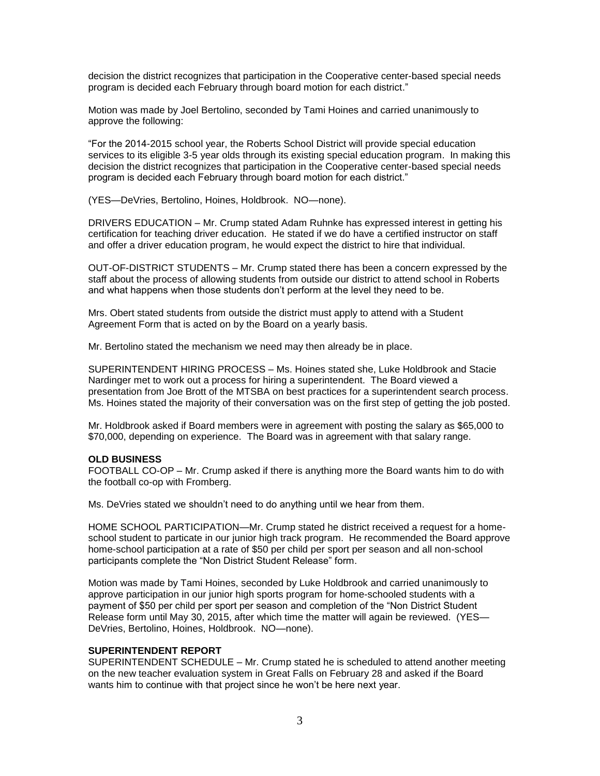decision the district recognizes that participation in the Cooperative center-based special needs program is decided each February through board motion for each district."

Motion was made by Joel Bertolino, seconded by Tami Hoines and carried unanimously to approve the following:

"For the 2014-2015 school year, the Roberts School District will provide special education services to its eligible 3-5 year olds through its existing special education program. In making this decision the district recognizes that participation in the Cooperative center-based special needs program is decided each February through board motion for each district."

(YES—DeVries, Bertolino, Hoines, Holdbrook. NO—none).

DRIVERS EDUCATION – Mr. Crump stated Adam Ruhnke has expressed interest in getting his certification for teaching driver education. He stated if we do have a certified instructor on staff and offer a driver education program, he would expect the district to hire that individual.

OUT-OF-DISTRICT STUDENTS – Mr. Crump stated there has been a concern expressed by the staff about the process of allowing students from outside our district to attend school in Roberts and what happens when those students don't perform at the level they need to be.

Mrs. Obert stated students from outside the district must apply to attend with a Student Agreement Form that is acted on by the Board on a yearly basis.

Mr. Bertolino stated the mechanism we need may then already be in place.

SUPERINTENDENT HIRING PROCESS – Ms. Hoines stated she, Luke Holdbrook and Stacie Nardinger met to work out a process for hiring a superintendent. The Board viewed a presentation from Joe Brott of the MTSBA on best practices for a superintendent search process. Ms. Hoines stated the majority of their conversation was on the first step of getting the job posted.

Mr. Holdbrook asked if Board members were in agreement with posting the salary as \$65,000 to \$70,000, depending on experience. The Board was in agreement with that salary range.

# **OLD BUSINESS**

FOOTBALL CO-OP – Mr. Crump asked if there is anything more the Board wants him to do with the football co-op with Fromberg.

Ms. DeVries stated we shouldn't need to do anything until we hear from them.

HOME SCHOOL PARTICIPATION—Mr. Crump stated he district received a request for a homeschool student to particate in our junior high track program. He recommended the Board approve home-school participation at a rate of \$50 per child per sport per season and all non-school participants complete the "Non District Student Release" form.

Motion was made by Tami Hoines, seconded by Luke Holdbrook and carried unanimously to approve participation in our junior high sports program for home-schooled students with a payment of \$50 per child per sport per season and completion of the "Non District Student Release form until May 30, 2015, after which time the matter will again be reviewed. (YES— DeVries, Bertolino, Hoines, Holdbrook. NO—none).

# **SUPERINTENDENT REPORT**

SUPERINTENDENT SCHEDULE – Mr. Crump stated he is scheduled to attend another meeting on the new teacher evaluation system in Great Falls on February 28 and asked if the Board wants him to continue with that project since he won't be here next year.